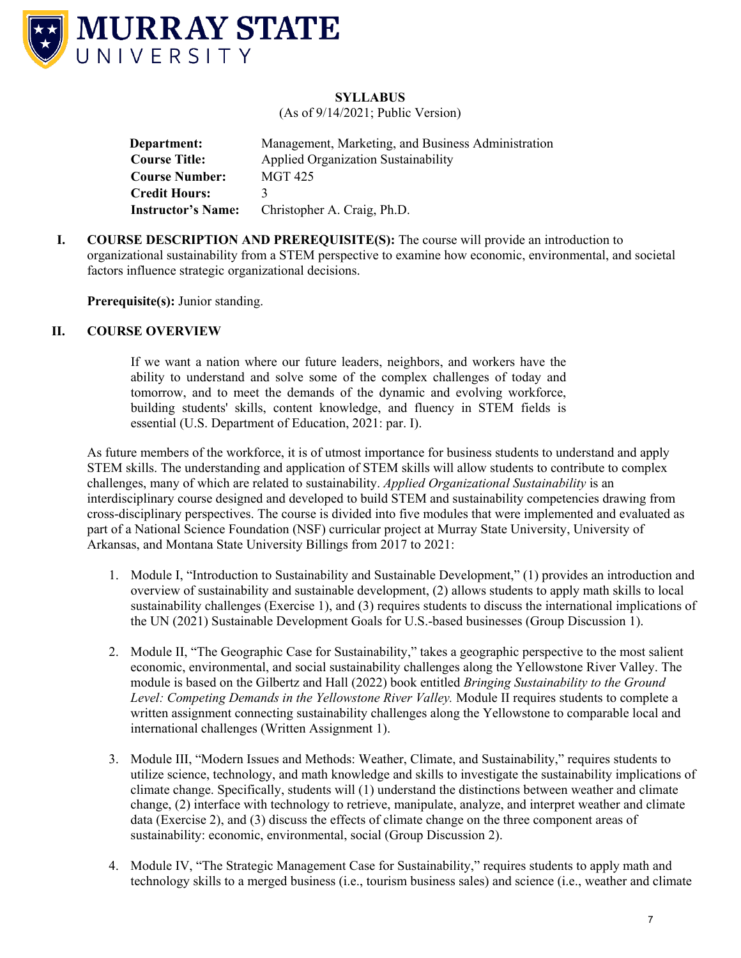

## **SYLLABUS**

(As of 9/14/2021; Public Version)

**Department:** Management, Marketing, and Business Administration **Course Title:** Applied Organization Sustainability  **Course Number:** MGT 425 **Credit Hours:** 3  **Instructor's Name:** Christopher A. Craig, Ph.D.

**I. COURSE DESCRIPTION AND PREREQUISITE(S):** The course will provide an introduction to organizational sustainability from a STEM perspective to examine how economic, environmental, and societal factors influence strategic organizational decisions.

**Prerequisite(s):** Junior standing.

## **II. COURSE OVERVIEW**

If we want a nation where our future leaders, neighbors, and workers have the ability to understand and solve some of the complex challenges of today and tomorrow, and to meet the demands of the dynamic and evolving workforce, building students' skills, content knowledge, and fluency in STEM fields is essential (U.S. Department of Education, 2021: par. I).

As future members of the workforce, it is of utmost importance for business students to understand and apply STEM skills. The understanding and application of STEM skills will allow students to contribute to complex challenges, many of which are related to sustainability. *Applied Organizational Sustainability* is an interdisciplinary course designed and developed to build STEM and sustainability competencies drawing from cross-disciplinary perspectives. The course is divided into five modules that were implemented and evaluated as part of a National Science Foundation (NSF) curricular project at Murray State University, University of Arkansas, and Montana State University Billings from 2017 to 2021:

- 1. Module I, "Introduction to Sustainability and Sustainable Development," (1) provides an introduction and overview of sustainability and sustainable development, (2) allows students to apply math skills to local sustainability challenges (Exercise 1), and (3) requires students to discuss the international implications of the UN (2021) Sustainable Development Goals for U.S.-based businesses (Group Discussion 1).
- 2. Module II, "The Geographic Case for Sustainability," takes a geographic perspective to the most salient economic, environmental, and social sustainability challenges along the Yellowstone River Valley. The module is based on the Gilbertz and Hall (2022) book entitled *Bringing Sustainability to the Ground Level: Competing Demands in the Yellowstone River Valley.* Module II requires students to complete a written assignment connecting sustainability challenges along the Yellowstone to comparable local and international challenges (Written Assignment 1).
- 3. Module III, "Modern Issues and Methods: Weather, Climate, and Sustainability," requires students to utilize science, technology, and math knowledge and skills to investigate the sustainability implications of climate change. Specifically, students will (1) understand the distinctions between weather and climate change, (2) interface with technology to retrieve, manipulate, analyze, and interpret weather and climate data (Exercise 2), and (3) discuss the effects of climate change on the three component areas of sustainability: economic, environmental, social (Group Discussion 2).
- 4. Module IV, "The Strategic Management Case for Sustainability," requires students to apply math and technology skills to a merged business (i.e., tourism business sales) and science (i.e., weather and climate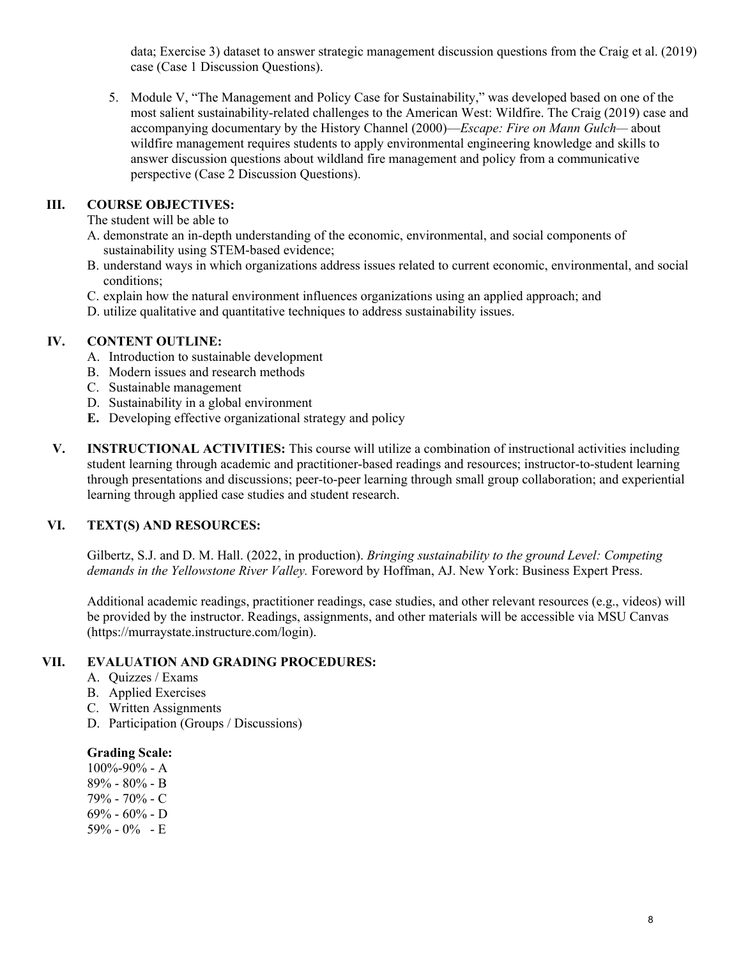data; Exercise 3) dataset to answer strategic management discussion questions from the Craig et al. (2019) case (Case 1 Discussion Questions).

5. Module V, "The Management and Policy Case for Sustainability," was developed based on one of the most salient sustainability-related challenges to the American West: Wildfire. The Craig (2019) case and accompanying documentary by the History Channel (2000)—*Escape: Fire on Mann Gulch—* about wildfire management requires students to apply environmental engineering knowledge and skills to answer discussion questions about wildland fire management and policy from a communicative perspective (Case 2 Discussion Questions).

## **III. COURSE OBJECTIVES:**

The student will be able to

- A. demonstrate an in-depth understanding of the economic, environmental, and social components of sustainability using STEM-based evidence;
- B. understand ways in which organizations address issues related to current economic, environmental, and social conditions;
- C. explain how the natural environment influences organizations using an applied approach; and
- D. utilize qualitative and quantitative techniques to address sustainability issues.

#### **IV. CONTENT OUTLINE:**

- A. Introduction to sustainable development
- B. Modern issues and research methods
- C. Sustainable management
- D. Sustainability in a global environment
- **E.** Developing effective organizational strategy and policy
- **V. INSTRUCTIONAL ACTIVITIES:** This course will utilize a combination of instructional activities including student learning through academic and practitioner-based readings and resources; instructor-to-student learning through presentations and discussions; peer-to-peer learning through small group collaboration; and experiential learning through applied case studies and student research.

## **VI. TEXT(S) AND RESOURCES:**

Gilbertz, S.J. and D. M. Hall. (2022, in production). *Bringing sustainability to the ground Level: Competing demands in the Yellowstone River Valley.* Foreword by Hoffman, AJ. New York: Business Expert Press.

Additional academic readings, practitioner readings, case studies, and other relevant resources (e.g., videos) will be provided by the instructor. Readings, assignments, and other materials will be accessible via MSU Canvas (https://murraystate.instructure.com/login).

#### **VII. EVALUATION AND GRADING PROCEDURES:**

- A. Quizzes / Exams
- B. Applied Exercises
- C. Written Assignments
- D. Participation (Groups / Discussions)

#### **Grading Scale:**

100%-90% - A 89% - 80% - B 79% - 70% - C  $69\% - 60\% - D$ 59% - 0% - E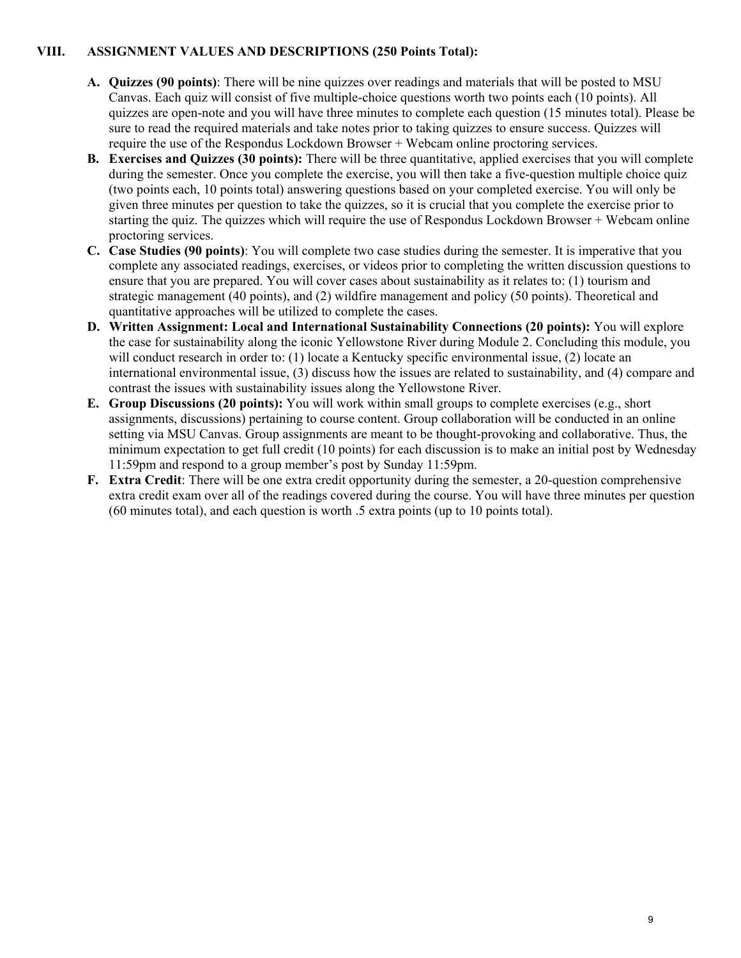## **VIII. ASSIGNMENT VALUES AND DESCRIPTIONS (250 Points Total):**

- **A. Quizzes (90 points)**: There will be nine quizzes over readings and materials that will be posted to MSU Canvas. Each quiz will consist of five multiple-choice questions worth two points each (10 points). All quizzes are open-note and you will have three minutes to complete each question (15 minutes total). Please be sure to read the required materials and take notes prior to taking quizzes to ensure success. Quizzes will require the use of the Respondus Lockdown Browser + Webcam online proctoring services.
- **B. Exercises and Quizzes (30 points):** There will be three quantitative, applied exercises that you will complete during the semester. Once you complete the exercise, you will then take a five-question multiple choice quiz (two points each, 10 points total) answering questions based on your completed exercise. You will only be given three minutes per question to take the quizzes, so it is crucial that you complete the exercise prior to starting the quiz. The quizzes which will require the use of Respondus Lockdown Browser + Webcam online proctoring services.
- **C. Case Studies (90 points)**: You will complete two case studies during the semester. It is imperative that you complete any associated readings, exercises, or videos prior to completing the written discussion questions to ensure that you are prepared. You will cover cases about sustainability as it relates to: (1) tourism and strategic management (40 points), and (2) wildfire management and policy (50 points). Theoretical and quantitative approaches will be utilized to complete the cases.
- **D. Written Assignment: Local and International Sustainability Connections (20 points):** You will explore the case for sustainability along the iconic Yellowstone River during Module 2. Concluding this module, you will conduct research in order to: (1) locate a Kentucky specific environmental issue, (2) locate an international environmental issue, (3) discuss how the issues are related to sustainability, and (4) compare and contrast the issues with sustainability issues along the Yellowstone River.
- **E. Group Discussions (20 points):** You will work within small groups to complete exercises (e.g., short assignments, discussions) pertaining to course content. Group collaboration will be conducted in an online setting via MSU Canvas. Group assignments are meant to be thought-provoking and collaborative. Thus, the minimum expectation to get full credit (10 points) for each discussion is to make an initial post by Wednesday 11:59pm and respond to a group member's post by Sunday 11:59pm.
- **F. Extra Credit**: There will be one extra credit opportunity during the semester, a 20-question comprehensive extra credit exam over all of the readings covered during the course. You will have three minutes per question (60 minutes total), and each question is worth .5 extra points (up to 10 points total).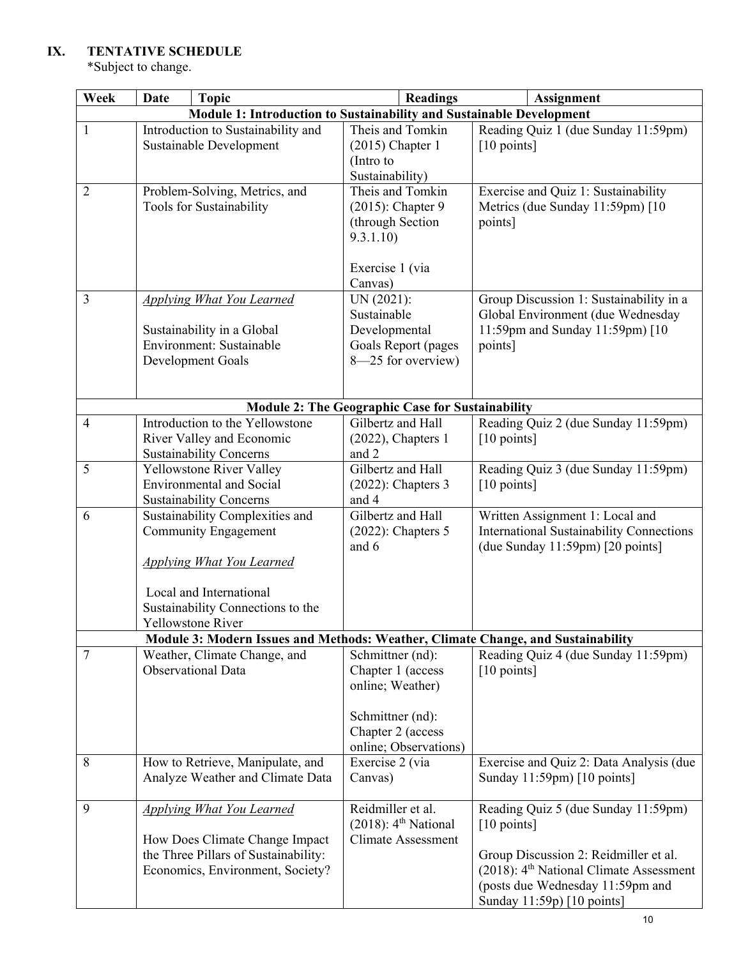# **IX. TENTATIVE SCHEDULE**

\*Subject to change.

| Week                                                    | <b>Topic</b><br><b>Date</b>                                                                                                                                        | <b>Readings</b>                                                                                         | <b>Assignment</b>                                                                                                                                                                                                       |  |  |
|---------------------------------------------------------|--------------------------------------------------------------------------------------------------------------------------------------------------------------------|---------------------------------------------------------------------------------------------------------|-------------------------------------------------------------------------------------------------------------------------------------------------------------------------------------------------------------------------|--|--|
|                                                         | Module 1: Introduction to Sustainability and Sustainable Development                                                                                               |                                                                                                         |                                                                                                                                                                                                                         |  |  |
| $\mathbf{1}$                                            | Introduction to Sustainability and<br>Sustainable Development                                                                                                      | Theis and Tomkin<br>$(2015)$ Chapter 1<br>(Intro to<br>Sustainability)                                  | Reading Quiz 1 (due Sunday 11:59pm)<br>[10 points]                                                                                                                                                                      |  |  |
| $\overline{2}$                                          | Problem-Solving, Metrics, and<br>Tools for Sustainability                                                                                                          | Theis and Tomkin<br>$(2015)$ : Chapter 9<br>(through Section<br>9.3.1.10<br>Exercise 1 (via<br>Canvas)  | Exercise and Quiz 1: Sustainability<br>Metrics (due Sunday 11:59pm) [10<br>points]                                                                                                                                      |  |  |
| 3                                                       | <b>Applying What You Learned</b><br>Sustainability in a Global<br>Environment: Sustainable<br>Development Goals                                                    | UN (2021):<br>Sustainable<br>Developmental<br>Goals Report (pages<br>8-25 for overview)                 | Group Discussion 1: Sustainability in a<br>Global Environment (due Wednesday<br>11:59pm and Sunday 11:59pm) [10<br>points]                                                                                              |  |  |
| <b>Module 2: The Geographic Case for Sustainability</b> |                                                                                                                                                                    |                                                                                                         |                                                                                                                                                                                                                         |  |  |
| $\overline{4}$                                          | Introduction to the Yellowstone<br>River Valley and Economic<br><b>Sustainability Concerns</b>                                                                     | Gilbertz and Hall<br>$(2022)$ , Chapters 1<br>and 2                                                     | Reading Quiz 2 (due Sunday 11:59pm)<br>[10 points]                                                                                                                                                                      |  |  |
| 5                                                       | Yellowstone River Valley<br><b>Environmental and Social</b><br><b>Sustainability Concerns</b>                                                                      | Gilbertz and Hall<br>$(2022)$ : Chapters 3<br>and 4                                                     | Reading Quiz 3 (due Sunday 11:59pm)<br>[10 points]                                                                                                                                                                      |  |  |
| 6                                                       | Sustainability Complexities and<br><b>Community Engagement</b><br><b>Applying What You Learned</b><br>Local and International<br>Sustainability Connections to the | Gilbertz and Hall<br>$(2022)$ : Chapters 5<br>and 6                                                     | Written Assignment 1: Local and<br>International Sustainability Connections<br>(due Sunday $11:59$ pm) [20 points]                                                                                                      |  |  |
|                                                         | Yellowstone River<br>Module 3: Modern Issues and Methods: Weather, Climate Change, and Sustainability                                                              |                                                                                                         |                                                                                                                                                                                                                         |  |  |
| 7                                                       | Weather, Climate Change, and                                                                                                                                       | Schmittner (nd):                                                                                        | Reading Quiz 4 (due Sunday 11:59pm)                                                                                                                                                                                     |  |  |
|                                                         | <b>Observational Data</b>                                                                                                                                          | Chapter 1 (access<br>online; Weather)<br>Schmittner (nd):<br>Chapter 2 (access<br>online; Observations) | $[10 \text{ points}]$                                                                                                                                                                                                   |  |  |
| 8                                                       | How to Retrieve, Manipulate, and<br>Analyze Weather and Climate Data                                                                                               | Exercise 2 (via<br>Canvas)                                                                              | Exercise and Quiz 2: Data Analysis (due<br>Sunday 11:59pm) [10 points]                                                                                                                                                  |  |  |
| 9                                                       | <b>Applying What You Learned</b><br>How Does Climate Change Impact<br>the Three Pillars of Sustainability:<br>Economics, Environment, Society?                     | Reidmiller et al.<br>$(2018)$ : 4 <sup>th</sup> National<br><b>Climate Assessment</b>                   | Reading Quiz 5 (due Sunday 11:59pm)<br>[10 points]<br>Group Discussion 2: Reidmiller et al.<br>$(2018)$ : 4 <sup>th</sup> National Climate Assessment<br>(posts due Wednesday 11:59pm and<br>Sunday 11:59p) [10 points] |  |  |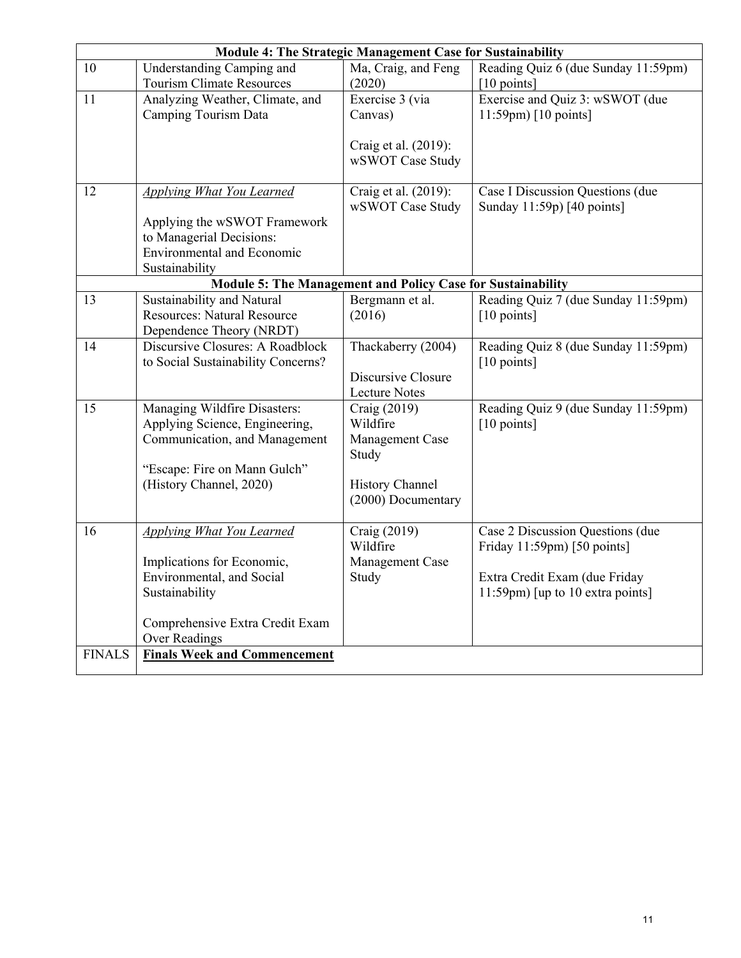|               | <b>Module 4: The Strategic Management Case for Sustainability</b> |                           |                                                              |  |  |
|---------------|-------------------------------------------------------------------|---------------------------|--------------------------------------------------------------|--|--|
| 10            | Understanding Camping and                                         | Ma, Craig, and Feng       | Reading Quiz 6 (due Sunday 11:59pm)                          |  |  |
|               | Tourism Climate Resources                                         | (2020)                    | [10 points]                                                  |  |  |
| 11            | Analyzing Weather, Climate, and                                   | Exercise 3 (via           | Exercise and Quiz 3: wSWOT (due                              |  |  |
|               | Camping Tourism Data                                              | Canvas)                   | 11:59pm) [10 points]                                         |  |  |
|               |                                                                   |                           |                                                              |  |  |
|               |                                                                   | Craig et al. (2019):      |                                                              |  |  |
|               |                                                                   | wSWOT Case Study          |                                                              |  |  |
|               |                                                                   |                           |                                                              |  |  |
| 12            | <b>Applying What You Learned</b>                                  | Craig et al. (2019):      | Case I Discussion Questions (due                             |  |  |
|               |                                                                   | wSWOT Case Study          | Sunday 11:59p) [40 points]                                   |  |  |
|               | Applying the wSWOT Framework                                      |                           |                                                              |  |  |
|               | to Managerial Decisions:                                          |                           |                                                              |  |  |
|               | <b>Environmental and Economic</b>                                 |                           |                                                              |  |  |
|               | Sustainability                                                    |                           |                                                              |  |  |
|               | Module 5: The Management and Policy Case for Sustainability       |                           |                                                              |  |  |
| 13            | Sustainability and Natural<br><b>Resources: Natural Resource</b>  | Bergmann et al.<br>(2016) | Reading Quiz 7 (due Sunday 11:59pm)                          |  |  |
|               |                                                                   |                           | [10 points]                                                  |  |  |
| 14            | Dependence Theory (NRDT)<br>Discursive Closures: A Roadblock      |                           |                                                              |  |  |
|               | to Social Sustainability Concerns?                                | Thackaberry (2004)        | Reading Quiz 8 (due Sunday 11:59pm)<br>$[10 \text{ points}]$ |  |  |
|               |                                                                   | Discursive Closure        |                                                              |  |  |
|               |                                                                   | Lecture Notes             |                                                              |  |  |
| 15            | Managing Wildfire Disasters:                                      | Craig (2019)              | Reading Quiz 9 (due Sunday 11:59pm)                          |  |  |
|               | Applying Science, Engineering,                                    | Wildfire                  | [10 points]                                                  |  |  |
|               | Communication, and Management                                     | Management Case           |                                                              |  |  |
|               |                                                                   | Study                     |                                                              |  |  |
|               | "Escape: Fire on Mann Gulch"                                      |                           |                                                              |  |  |
|               | (History Channel, 2020)                                           | <b>History Channel</b>    |                                                              |  |  |
|               |                                                                   | (2000) Documentary        |                                                              |  |  |
|               |                                                                   |                           |                                                              |  |  |
| 16            | <b>Applying What You Learned</b>                                  | Craig (2019)              | Case 2 Discussion Questions (due                             |  |  |
|               |                                                                   | Wildfire                  | Friday 11:59pm) [50 points]                                  |  |  |
|               | Implications for Economic,                                        | Management Case           |                                                              |  |  |
|               | Environmental, and Social                                         | Study                     | Extra Credit Exam (due Friday                                |  |  |
|               | Sustainability                                                    |                           | $11:59$ pm) [up to 10 extra points]                          |  |  |
|               |                                                                   |                           |                                                              |  |  |
|               | Comprehensive Extra Credit Exam                                   |                           |                                                              |  |  |
|               | <b>Over Readings</b>                                              |                           |                                                              |  |  |
| <b>FINALS</b> | <b>Finals Week and Commencement</b>                               |                           |                                                              |  |  |
|               |                                                                   |                           |                                                              |  |  |